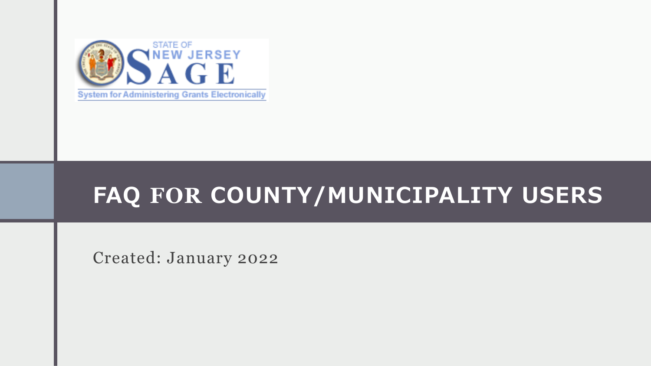

#### **FAQ FOR COUNTY/MUNICIPALITY USERS**

Created: January 2022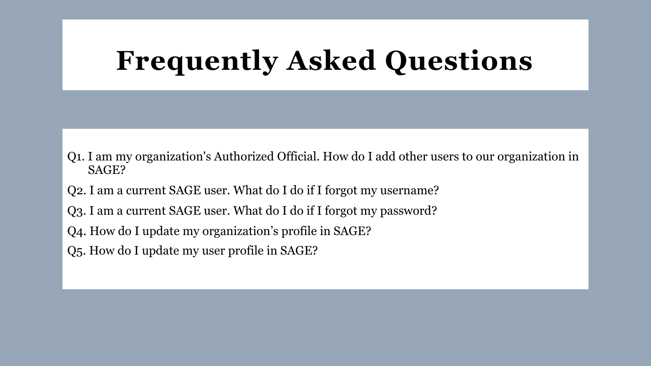# **Frequently Asked Questions**

- Q1. I am my organization's Authorized Official. How do I add other users to our organization in SAGE?
- Q2. I am a current SAGE user. What do I do if I forgot my username?
- Q3. I am a current SAGE user. What do I do if I forgot my password?
- Q4. How do I update my organization's profile in SAGE?
- Q5. How do I update my user profile in SAGE?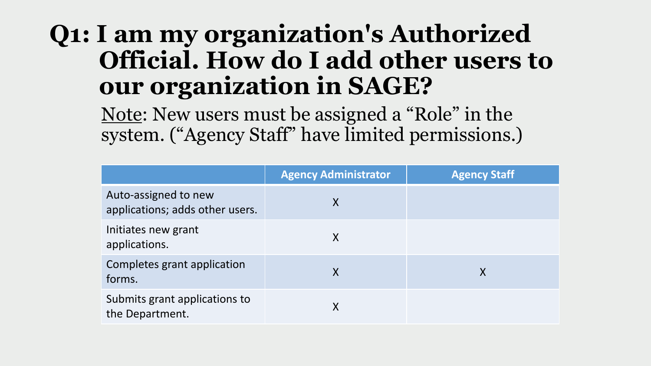Note: New users must be assigned a "Role" in the system. ("Agency Staff" have limited permissions.)

|                                                         | <b>Agency Administrator</b> | <b>Agency Staff</b> |
|---------------------------------------------------------|-----------------------------|---------------------|
| Auto-assigned to new<br>applications; adds other users. | X                           |                     |
| Initiates new grant<br>applications.                    | X                           |                     |
| Completes grant application<br>forms.                   | X                           | Χ                   |
| Submits grant applications to<br>the Department.        | X                           |                     |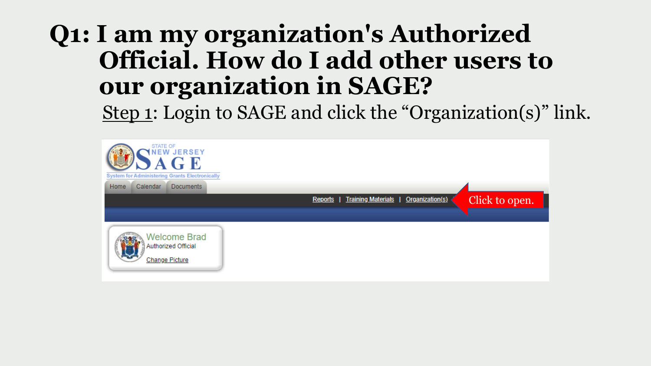Step 1: Login to SAGE and click the "Organization(s)" link.

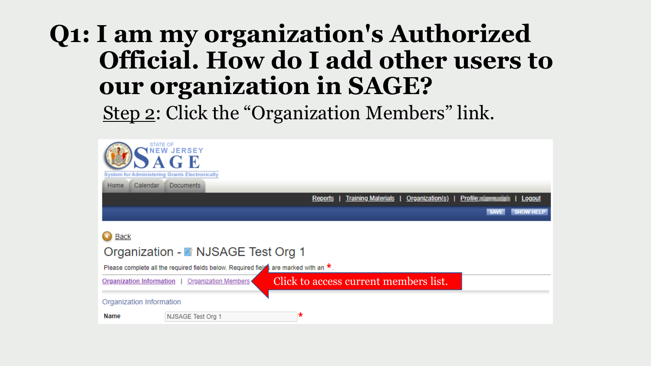Step 2: Click the "Organization Members" link.

| <b>STATE OF</b><br><b>System for Administering Grants Electronically</b><br>Calendar<br>Home | <b>NEW JERSEY</b><br>÷Ю<br><b>Documents</b>                                                 |                                                         |                                 |  |  |  |
|----------------------------------------------------------------------------------------------|---------------------------------------------------------------------------------------------|---------------------------------------------------------|---------------------------------|--|--|--|
|                                                                                              |                                                                                             | <b>Training Materials</b><br>Organization(s)<br>Reports | <b>Profile:</b><br>Logout       |  |  |  |
|                                                                                              |                                                                                             |                                                         | <b>SHOW HELP</b><br><b>SAVE</b> |  |  |  |
| <b>Back</b>                                                                                  | Organization - NJSAGE Test Org 1                                                            |                                                         |                                 |  |  |  |
|                                                                                              | Please complete all the required fields below. Required fields are marked with an $\star$ . |                                                         |                                 |  |  |  |
| <b>Organization Information</b>                                                              | <b>Organization Members</b>                                                                 | Click to access current members list.                   |                                 |  |  |  |
| Organization Information                                                                     |                                                                                             |                                                         |                                 |  |  |  |
| Name                                                                                         | NJSAGE Test Org 1                                                                           | *                                                       |                                 |  |  |  |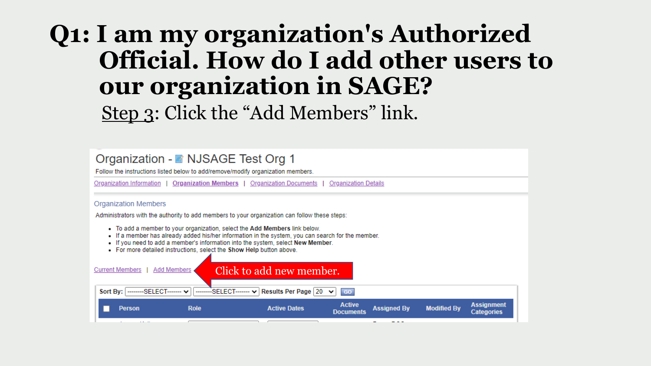#### **Q1: I am my organization's Authorized Official. How do I add other users to our organization in SAGE?** Step 3: Click the "Add Members" link.

| Organization - ■ NJSAGE Test Org 1<br>Follow the instructions listed below to add/remove/modify organization members.                                                                                                                                                                                                                      |                                     |                                   |                                          |                                        |  |  |
|--------------------------------------------------------------------------------------------------------------------------------------------------------------------------------------------------------------------------------------------------------------------------------------------------------------------------------------------|-------------------------------------|-----------------------------------|------------------------------------------|----------------------------------------|--|--|
| <b>Organization Members</b>   Organization Documents  <br>Organization Information  <br><b>Organization Details</b>                                                                                                                                                                                                                        |                                     |                                   |                                          |                                        |  |  |
| <b>Organization Members</b>                                                                                                                                                                                                                                                                                                                |                                     |                                   |                                          |                                        |  |  |
| Administrators with the authority to add members to your organization can follow these steps:                                                                                                                                                                                                                                              |                                     |                                   |                                          |                                        |  |  |
| • To add a member to your organization, select the Add Members link below.<br>• If a member has already added his/her information in the system, you can search for the member.<br>. If you need to add a member's information into the system, select New Member.<br>• For more detailed instructions, select the Show Help button above. |                                     |                                   |                                          |                                        |  |  |
| <b>Current Members</b><br><b>Add Members</b>                                                                                                                                                                                                                                                                                               | Click to add new member.            |                                   |                                          |                                        |  |  |
| Sort By:   --------SELECT------- v                                                                                                                                                                                                                                                                                                         | SELECT------- v Results Per Page 20 | <b>GO</b><br>$\checkmark$         |                                          |                                        |  |  |
| <b>Role</b><br><b>Person</b>                                                                                                                                                                                                                                                                                                               | <b>Active Dates</b>                 | <b>Active</b><br><b>Documents</b> | <b>Assigned By</b><br><b>Modified By</b> | <b>Assignment</b><br><b>Categories</b> |  |  |
|                                                                                                                                                                                                                                                                                                                                            |                                     |                                   |                                          |                                        |  |  |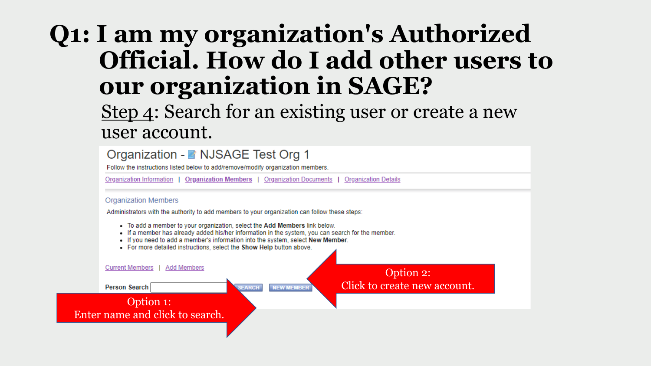Step 4: Search for an existing user or create a new user account.

|                 | Organization Information                                                                                                                                                                                                              |               |                   | <b>Organization Members   Organization Documents   Organization Details</b>                       |  |
|-----------------|---------------------------------------------------------------------------------------------------------------------------------------------------------------------------------------------------------------------------------------|---------------|-------------------|---------------------------------------------------------------------------------------------------|--|
|                 | <b>Organization Members</b>                                                                                                                                                                                                           |               |                   |                                                                                                   |  |
|                 | Administrators with the authority to add members to your organization can follow these steps:                                                                                                                                         |               |                   |                                                                                                   |  |
|                 | - To add a member to your organization, select the Add Members link below.<br>. If you need to add a member's information into the system, select New Member.<br>• For more detailed instructions, select the Show Help button above. |               |                   | . If a member has already added his/her information in the system, you can search for the member. |  |
| Current Members | Add Members                                                                                                                                                                                                                           |               |                   | Option 2:                                                                                         |  |
|                 |                                                                                                                                                                                                                                       | <b>SEARCH</b> | <b>NEW MEMBER</b> | Click to create new account.                                                                      |  |
| Person Search   |                                                                                                                                                                                                                                       |               |                   |                                                                                                   |  |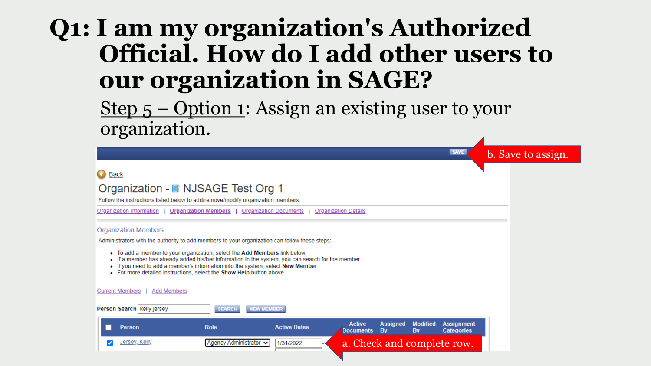Step  $5$  – Option 1: Assign an existing user to your organization.

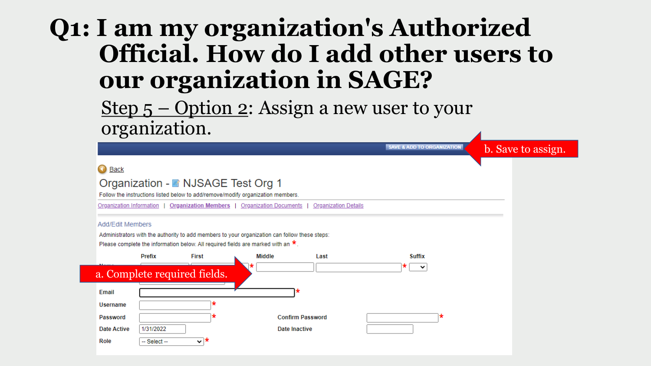Step  $5$  – Option 2: Assign a new user to your organization.

|                                                                                               | <b>SAVE &amp; ADD TO ORGANIZATION</b><br>b. Save to assign. |
|-----------------------------------------------------------------------------------------------|-------------------------------------------------------------|
| Back                                                                                          |                                                             |
| Organization - ■ NJSAGE Test Org 1                                                            |                                                             |
| Follow the instructions listed below to add/remove/modify organization members.               |                                                             |
| Organization Members   Organization Documents<br>Organization Information                     | <b>Organization Details</b>                                 |
| Add/Edit Members                                                                              |                                                             |
| Administrators with the authority to add members to your organization can follow these steps: |                                                             |
| Please complete the information below. All required fields are marked with an $\star$ .       |                                                             |
| Prefix<br>Middle<br><b>First</b><br>Last                                                      | <b>Suffix</b>                                               |
| a. Complete required fields.                                                                  | ×<br>$\checkmark$                                           |
|                                                                                               |                                                             |
| Email                                                                                         |                                                             |
| Username                                                                                      |                                                             |
| <b>Confirm Password</b><br>Password                                                           |                                                             |
| 1/31/2022<br><b>Date Active</b><br>Date Inactive                                              |                                                             |
| V <del>*</del><br>Role<br>$-$ Select $-$                                                      |                                                             |
|                                                                                               |                                                             |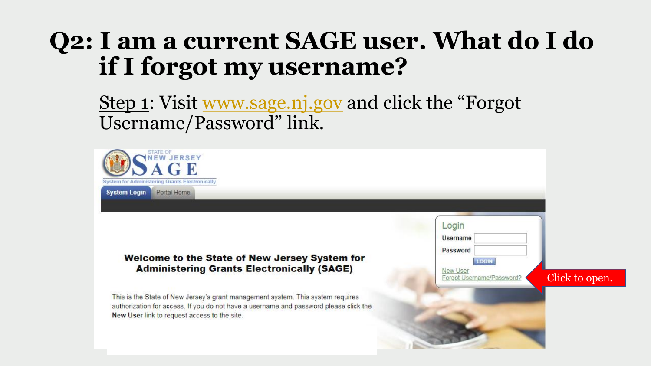Step 1: Visit [www.sage.nj.gov](http://www.sage.nj.gov/) and click the "Forgot" Username/Password" link.

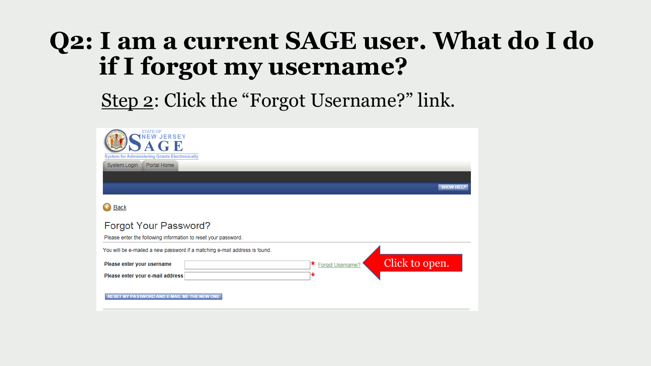#### Step 2: Click the "Forgot Username?" link.

| <b>STATE OF</b><br><b>NEW JERSEY</b><br>$\subset$ E<br><b>System for Administering Grants Electronically</b><br>Portal Home<br>System Login |                  |                  |
|---------------------------------------------------------------------------------------------------------------------------------------------|------------------|------------------|
|                                                                                                                                             |                  | <b>SHOW HELP</b> |
| <b>Back</b>                                                                                                                                 |                  |                  |
| Forgot Your Password?<br>Please enter the following information to reset your password.                                                     |                  |                  |
| You will be e-mailed a new password if a matching e-mail address is found.                                                                  |                  |                  |
| Please enter your username                                                                                                                  | Forgot Username? | Click to open.   |
| Please enter your e-mail address                                                                                                            | *                |                  |
| <b>RESET MY PASSWORD AND E-MAIL ME THE NEW ONE</b>                                                                                          |                  |                  |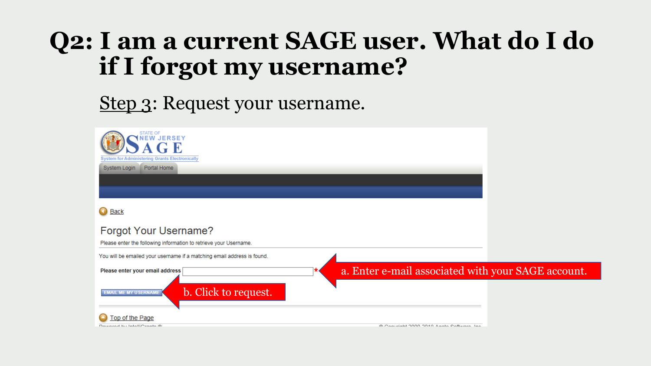#### Step 3: Request your username.

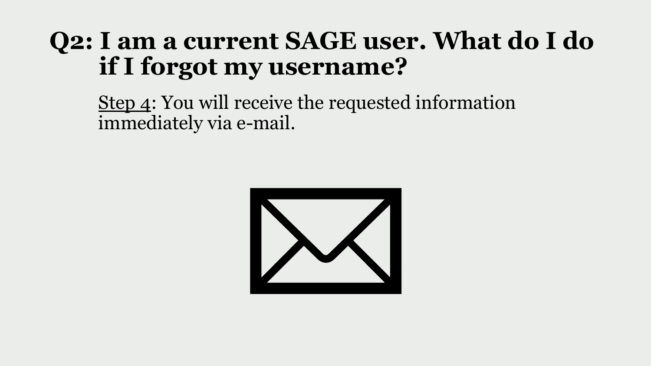Step 4: You will receive the requested information immediately via e-mail.

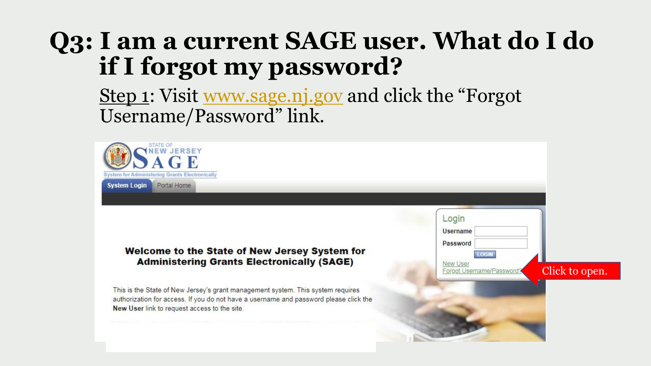Step 1: Visit [www.sage.nj.gov](http://www.sage.nj.gov/) and click the "Forgot" Username/Password" link.

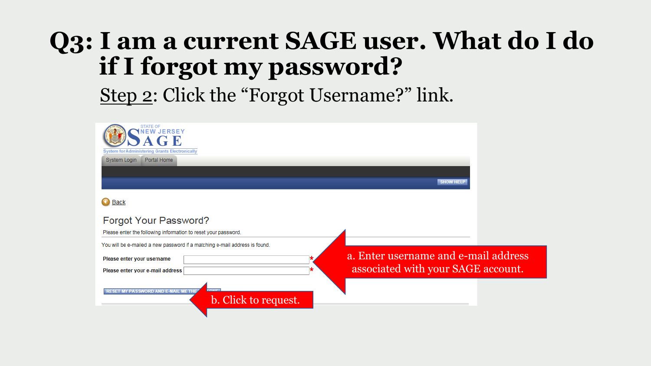Step 2: Click the "Forgot Username?" link.

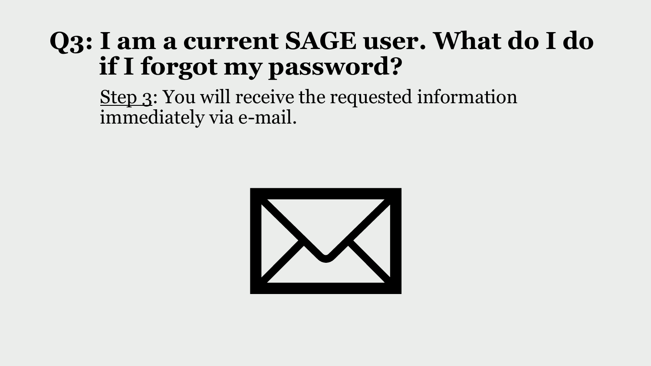Step 3: You will receive the requested information immediately via e-mail.

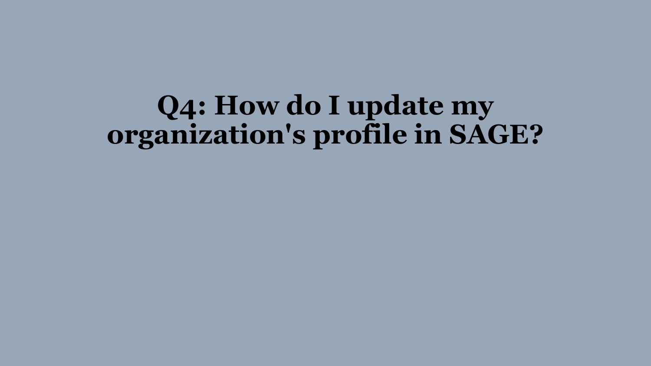# **Q4: How do I update my organization's profile in SAGE?**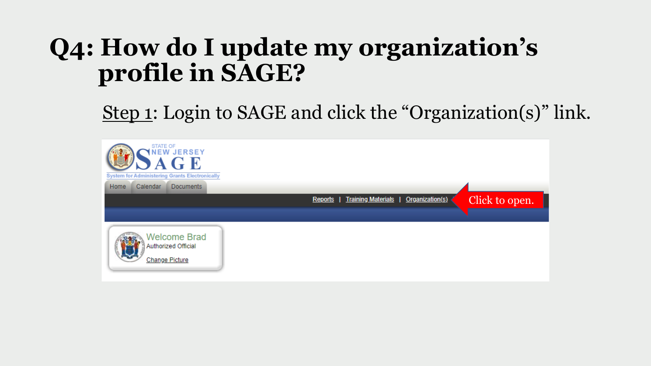### **Q4: How do I update my organization's profile in SAGE?**

Step 1: Login to SAGE and click the "Organization(s)" link.

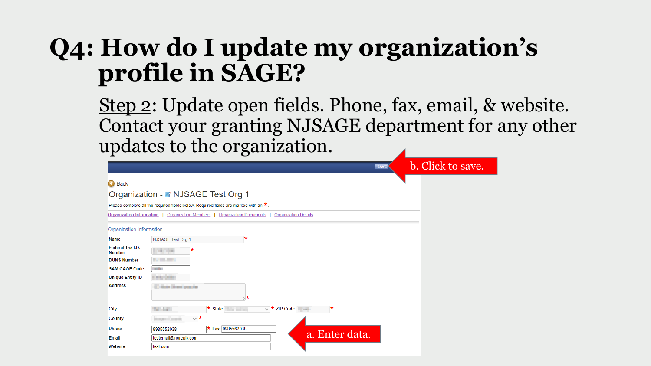### **Q4: How do I update my organization's profile in SAGE?**

Step 2: Update open fields. Phone, fax, email, & website. Contact your granting NJSAGE department for any other updates to the organization.

|                                   | <b>SAVE</b>                                                                                 | b. Click to save. |
|-----------------------------------|---------------------------------------------------------------------------------------------|-------------------|
| $\mathbf \Omega$<br><b>Back</b>   |                                                                                             |                   |
|                                   | Organization - B NJSAGE Test Org 1                                                          |                   |
|                                   | Please complete all the required fields below. Required fields are marked with an $\star$ . |                   |
| Organization Information          | <b>Organization Members</b><br><b>Organization Documents</b><br><b>Organization Details</b> |                   |
| Organization Information          |                                                                                             |                   |
| <b>Name</b>                       | NJSAGE Test Org 1                                                                           |                   |
| Federal Tax I.D.<br><b>Number</b> | <b>SECTION</b>                                                                              |                   |
| <b>DUNS Number</b>                | <b>Contract Contract</b>                                                                    |                   |
| <b>SAM CAGE Code</b>              | <b>STATE</b>                                                                                |                   |
| <b>Unique Entity ID</b>           | <b>STATISTICS</b>                                                                           |                   |
| <b>Address</b>                    | <b>Hole Characterizer</b><br>⋌★                                                             |                   |
| City                              | $\star$ State<br>$\vee$ <b>*</b> ZIP Code<br><b>SCIENTIST</b>                               |                   |
| County                            | $\vee$ *<br>age County                                                                      |                   |
| <b>Phone</b>                      | $\star$ Fax 9985562038<br>9985552038                                                        |                   |
| Email                             | a. Enter data.<br>testemail@noreply.com                                                     |                   |
| Website                           | test.com                                                                                    |                   |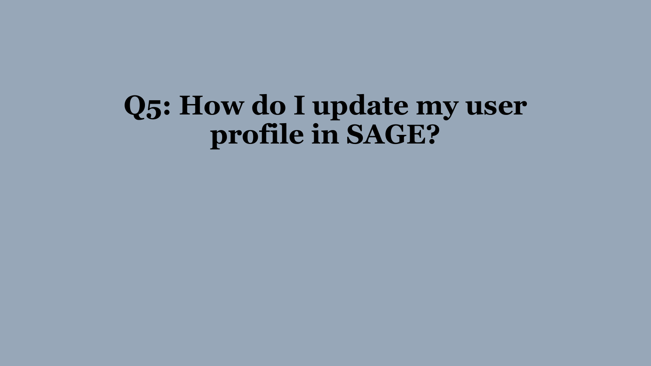# **Q5: How do I update my user profile in SAGE?**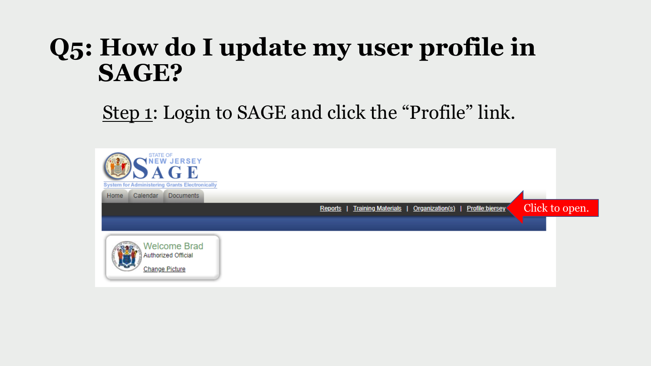### **Q5: How do I update my user profile in SAGE?**

Step 1: Login to SAGE and click the "Profile" link.